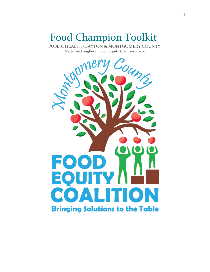# Food Champion Toolkit

PUBLIC HEALTH-DAYTON & MONTGOMERY COUNTY Madeline Loughery | Food Equity Coalition | 2021

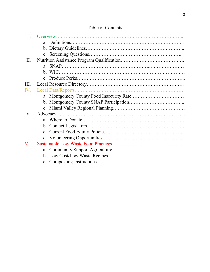# Table of Contents

| II.         |  |
|-------------|--|
|             |  |
|             |  |
|             |  |
| III.        |  |
| IV.         |  |
|             |  |
|             |  |
|             |  |
| $V_{\cdot}$ |  |
|             |  |
|             |  |
|             |  |
|             |  |
| VI.         |  |
|             |  |
|             |  |
|             |  |
|             |  |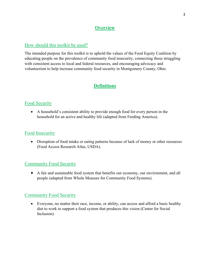# **Overview**

## How should this toolkit be used?

The intended purpose for this toolkit is to uphold the values of the Food Equity Coalition by educating people on the prevalence of community food insecurity, connecting those struggling with consistent access to local and federal resources, and encouraging advocacy and volunteerism to help increase community food security in Montgomery County, Ohio.

# **Definitions**

## Food Security

• A household's consistent ability to provide enough food for every person in the household for an active and healthy life (adapted from Feeding America).

#### Food Insecurity

• Disruption of food intake or eating patterns because of lack of money or other resources (Food Access Research Atlas, USDA).

#### **Community Food Security**

• A fair and sustainable food system that benefits our economy, our environment, and all people (adapted from Whole Measure for Community Food Systems).

#### Community Food Security

• Everyone, no matter their race, income, or ability, can access and afford a basic healthy diet to work to support a food system that produces this vision (Center for Social Inclusion).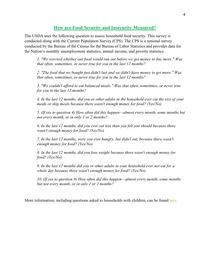#### **How are Food Security and Insecurity Measured?**

The USDA uses the following question to assess household food security. This survey is conducted along with the Current Population Survey (CPS). The CPS is a national survey conducted by the Bureau of the Census for the Bureau of Labor Statistics and provides data for the Nation's monthly unemployment statistics, annual income, and poverty statistics.

*1. "We worried whether our food would run out before we got money to buy more." Was that often, sometimes, or never true for you in the last 12 months?*

*2. "The food that we bought just didn't last and we didn't have money to get more." Was that often, sometimes, or never true for you in the last 12 months?*

*3. "We couldn't afford to eat balanced meals." Was that often, sometimes, or never true for you in the last 12 months?*

*4. In the last 12 months, did you or other adults in the household ever cut the size of your meals or skip meals because there wasn't enough money for food? (Yes/No)*

*5. (If yes to question 4) How often did this happen—almost every month, some months but not every month, or in only 1 or 2 months?*

*6. In the last 12 months, did you ever eat less than you felt you should because there wasn't enough money for food? (Yes/No)*

*7. In the last 12 months, were you ever hungry, but didn't eat, because there wasn't enough money for food? (Yes/No)*

*8. In the last 12 months, did you lose weight because there wasn't enough money for food? (Yes/No)*

*9. In the last 12 months did you or other adults in your household ever not eat for a whole day because there wasn't enough money for food? (Yes/No)*

*10. (If yes to question 9) How often did this happen—almost every month, some months but not every month, or in only 1 or 2 months?*

More information, including questions asked to households with children, can be found [here](https://www.ers.usda.gov/topics/food-nutrition-assistance/food-security-in-the-us/measurement.aspx)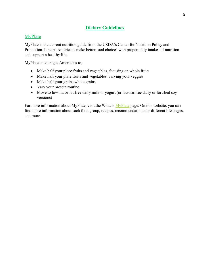## **Dietary Guidelines**

## MyPlate

MyPlate is the current nutrition guide from the USDA's Center for Nutrition Policy and Promotion. It helps Americans make better food choices with proper daily intakes of nutrition and support a healthy life.

MyPlate encourages Americans to,

- Make half your place fruits and vegetables, focusing on whole fruits
- Make half your plate fruits and vegetables, varying your veggies
- Make half your grains whole grains
- Vary your protein routine
- Move to low-fat or fat-free dairy milk or yogurt (or lactose-free dairy or fortified soy versions)

For more information about [MyPlate](https://www.myplate.gov/eat-healthy/what-is-myplate), visit the What is MyPlate page. On this website, you can find more information about each food group, recipes, recommendations for different life stages, and more.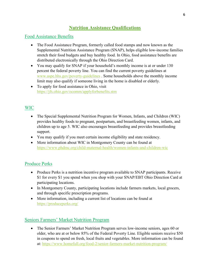# **Nutrition Assistance Qualifications**

## Food Assistance Benefits

- The Food Assistance Program, formerly called food stamps and now known as the Supplemental Nutrition Assistance Program (SNAP), helps eligible low-income families stretch their food budgets and buy healthy food. In Ohio, food assistance benefits are distributed electronically through the Ohio Direction Card.
- You may qualify for SNAP if your household's monthly income is at or under 130 percent the federal poverty line. You can find the current poverty guidelines at [www.aspe.hhs.gov/poverty-guidelines](http://www.aspe.hhs.gov/poverty-guidelines) . Some households above the monthly income limit may also qualify if someone living in the home is disabled or elderly.
- To apply for food assistance in Ohio, visit <https://jfs.ohio.gov/ocomm/applyforbenefits.stm>

# WIC

- The Special Supplemental Nutrition Program for Women, Infants, and Children (WIC) provides healthy foods to pregnant, postpartum, and breastfeeding women, infants, and children up to age 5. WIC also encourages breastfeeding and provides breastfeeding support.
- You may qualify if you meet certain income eligibility and state residency.
- More information about WIC in Montgomery County can be found at <https://www.phdmc.org/child-maternal-health/women-infants-and-children-wic>

# Produce Perks

- Produce Perks is a nutrition incentive program available to SNAP participants. Receive \$1 for every \$1 you spend when you shop with your SNAP/EBT Ohio Direction Card at participating locations.
- In Montgomery County, participating locations include farmers markets, local grocers, and through specific prescription programs.
- More information, including a current list of locations can be found at <https://produceperks.org/>

# Seniors Farmers' Market Nutrition Program

• The Senior Farmers' Market Nutrition Program serves low-income seniors, ages 60 or older, who are at or below 85% of the Federal Poverty Line. Eligible seniors receive \$50 in coupons to spend on fresh, local fruits and vegetables. More information can be found at:<https://www.homefull.org/food-2/senior-farmers-market-nutrition-program/>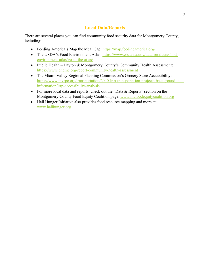## **Local Data/Reports**

There are several places you can find community food security data for Montgomery County, including:

- Feeding America's Map the Meal Gap:<https://map.feedingamerica.org/>
- The USDA's Food Environment Atlas: [https://www.ers.usda.gov/data-products/food](https://www.ers.usda.gov/data-products/food-environment-atlas/go-to-the-atlas/)[environment-atlas/go-to-the-atlas/](https://www.ers.usda.gov/data-products/food-environment-atlas/go-to-the-atlas/)
- Public Health Dayton & Montgomery County's Community Health Assessment: <https://www.phdmc.org/report/community-health-assessment>
- The Miami Valley Regional Planning Commission's Grocery Store Accessibility: [https://www.mvrpc.org/transportation/2040-lrtp-transportation-projects-background-and](https://www.mvrpc.org/transportation/2040-lrtp-transportation-projects-background-and-information/lrtp-accessibility-analysis)[information/lrtp-accessibility-analysis](https://www.mvrpc.org/transportation/2040-lrtp-transportation-projects-background-and-information/lrtp-accessibility-analysis)
- For more local data and reports, check out the "Data & Reports" section on the Montgomery County Food Equity Coalition page: [www.mcfoodequitycoalition.org](http://www.mcfoodequitycoalition.org/)
- Hall Hunger Initiative also provides food resource mapping and more at: [www.hallhunger.org](http://www.hallhunger.org/)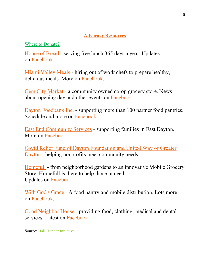# **Advocacy Resources**

Where to Donate?

[House](https://houseofbread.org/donate) of Bread - serving free lunch 365 days a year. Updates on [Facebook.](https://www.facebook.com/365hob)

Miami [Valley](https://sbtdayton.org/#1671dd19-397e-43ed-93fc-520cb5d5e716) Meals - hiring out of work chefs to prepare healthy, delicious meals. More on [Facebook.](https://www.facebook.com/miamivalleymeals)

Gem City [Market](https://gemcitymarket.com/gift-memberships-in-2020/) - a community owned co-op grocery store. News about opening day and other events on [Facebook.](http://www.facebook.com/GemCityMarket)

Dayton [Foodbank](https://thefoodbankdayton.org/donate/) Inc. - supporting more than 100 partner food pantries. Schedule and more on [Facebook.](https://www.facebook.com/thefoodbankinc)

East End [Community](https://www.east-end.org/) Services - supporting families in East Dayton. More on [Facebook.](https://www.facebook.com/eastendcommunityservices)

Covid Relief Fund of Dayton [Foundation](https://www.daytonfoundation.org/covideresponsefund-how-to-give.html) and United Way of Greater [Dayton](https://www.daytonfoundation.org/covideresponsefund-how-to-give.html) - helping nonprofits meet community needs.

[Homefull](https://www.homefull.org/get-involved/give-money/?fbclid=IwAR2TNx9OaFjLZDkwLecNiv6QC2IOBSRNhei00d2vJaKusr_GJuqDtcV9WJU) - from neighborhood gardens to an innovative Mobile Grocery Store, Homefull is there to help those in need. Updates on [Facebook.](https://www.facebook.com/BeHomefull)

With God's [Grace](https://withgodsgracepantry.org/) - A food pantry and mobile distribution. Lots more on [Facebook.](https://www.facebook.com/WithGodsGrace.MobileFoodPantry)

Good [Neighbor](http://goodneighborhouse.org/) House - providing food, clothing, medical and dental services. Latest on [Facebook.](https://www.facebook.com/GoodNeighborHouse)

Source: [Hall Hunger Initiative](https://www.hallhunger.org/)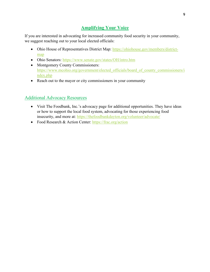# **Amplifying Your Voice**

If you are interested in advocating for increased community food security in your community, we suggest reaching out to your local elected officials:

- Ohio House of Representatives District Map: [https://ohiohouse.gov/members/district](https://ohiohouse.gov/members/district-map)[map](https://ohiohouse.gov/members/district-map)
- Ohio Senators:<https://www.senate.gov/states/OH/intro.htm>
- Montgomery County Commissioners: https://www.mcohio.org/government/elected officials/board of county commissioners/i [ndex.php](https://www.mcohio.org/government/elected_officials/board_of_county_commissioners/index.php)
- Reach out to the mayor or city commissioners in your community

# Additional Advocacy Resources

- Visit The Foodbank, Inc.'s advocacy page for additional opportunities. They have ideas or how to support the local food system, advocating for those experiencing food insecurity, and more at: <https://thefoodbankdayton.org/volunteer/advocate/>
- Food Research & Action Center:<https://frac.org/action>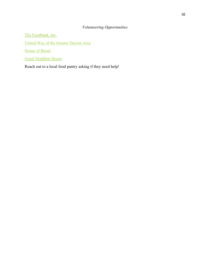# *Volunteering Opportunities*

The Foodbank, Inc.

[United Way of the Greater Dayton Area](https://dayton-unitedway.org/) 

[House of Bread](https://houseofbread.org/get-involved) 

[Good Neighbor House](http://goodneighborhouse.org/how-to-help/volunteer/)

Reach out to a local food pantry asking if they need help!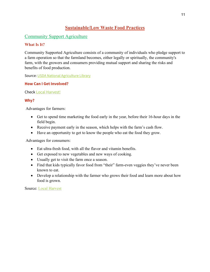# **Sustainable/Low Waste Food Practices**

## Community Support Agriculture

#### **What Is It?**

Community Supported Agriculture consists of a community of individuals who pledge support to a farm operation so that the farmland becomes, either legally or spiritually, the community's farm, with the growers and consumers providing mutual support and sharing the risks and benefits of food production.

Source: [USDA National Agriculture Library](https://www.nal.usda.gov/afsic/community-supported-agriculture)

#### **How Can I Get Involved?**

[Check Local Harvest!](https://www.localharvest.org/dayton-oh)

#### **Why?**

Advantages for farmers:

- Get to spend time marketing the food early in the year, before their 16-hour days in the field begin.
- Receive payment early in the season, which helps with the farm's cash flow.
- Have an opportunity to get to know the people who eat the food they grow.

Advantages for consumers:

- Eat ultra-fresh food, with all the flavor and vitamin benefits.
- Get exposed to new vegetables and new ways of cooking.
- Usually get to visit the farm once a season.
- Find that kids typically favor food from "their" farm-even veggies they've never been known to eat.
- Develop a relationship with the farmer who grows their food and learn more about how food is grown.

Source: [Local Harvest](https://www.localharvest.org/csa/)